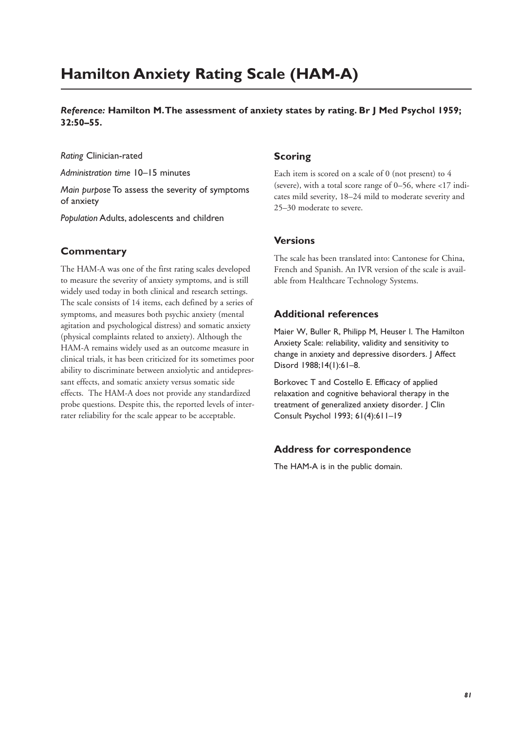# **Hamilton Anxiety Rating Scale (HAM-A)**

*Reference:* **Hamilton M.The assessment of anxiety states by rating. Br J Med Psychol 1959; 32:50–55.**

*Rating* Clinician-rated

*Administration time* 10–15 minutes

*Main purpose* To assess the severity of symptoms of anxiety

*Population* Adults, adolescents and children

## **Commentary**

The HAM-A was one of the first rating scales developed to measure the severity of anxiety symptoms, and is still widely used today in both clinical and research settings. The scale consists of 14 items, each defined by a series of symptoms, and measures both psychic anxiety (mental agitation and psychological distress) and somatic anxiety (physical complaints related to anxiety). Although the HAM-A remains widely used as an outcome measure in clinical trials, it has been criticized for its sometimes poor ability to discriminate between anxiolytic and antidepressant effects, and somatic anxiety versus somatic side effects. The HAM-A does not provide any standardized probe questions. Despite this, the reported levels of interrater reliability for the scale appear to be acceptable.

# **Scoring**

Each item is scored on a scale of 0 (not present) to 4 (severe), with a total score range of 0–56, where <17 indicates mild severity, 18–24 mild to moderate severity and 25–30 moderate to severe.

#### **Versions**

The scale has been translated into: Cantonese for China, French and Spanish. An IVR version of the scale is available from Healthcare Technology Systems.

## **Additional references**

Maier W, Buller R, Philipp M, Heuser I. The Hamilton Anxiety Scale: reliability, validity and sensitivity to change in anxiety and depressive disorders. J Affect Disord 1988;14(1):61–8.

Borkovec T and Costello E. Efficacy of applied relaxation and cognitive behavioral therapy in the treatment of generalized anxiety disorder. J Clin Consult Psychol 1993; 61(4):611–19

#### **Address for correspondence**

The HAM-A is in the public domain.